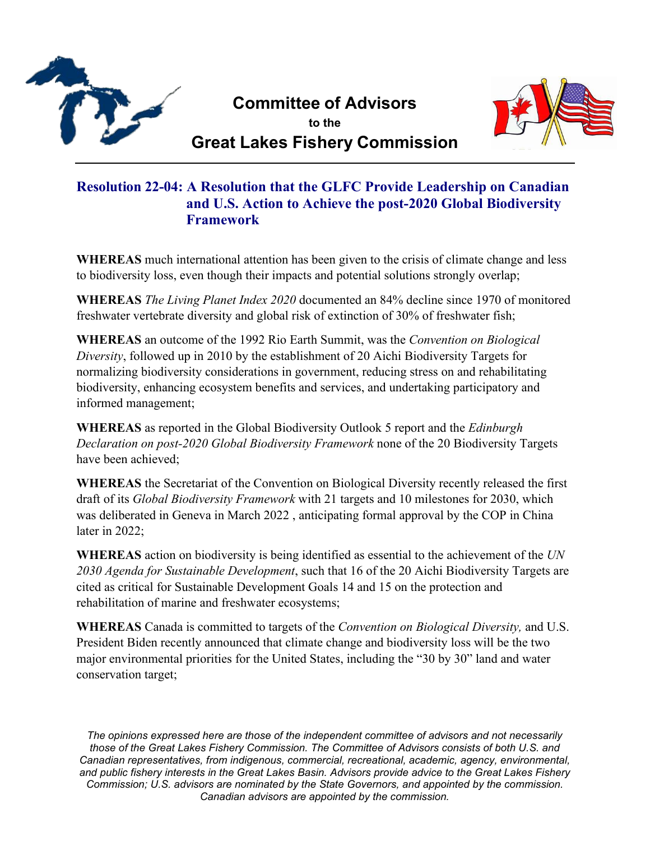

**Committee of Advisors to the**



**Great Lakes Fishery Commission**

## **Resolution 22-04: A Resolution that the GLFC Provide Leadership on Canadian and U.S. Action to Achieve the post-2020 Global Biodiversity Framework**

**WHEREAS** much international attention has been given to the crisis of climate change and less to biodiversity loss, even though their impacts and potential solutions strongly overlap;

**WHEREAS** *The Living Planet Index 2020* documented an 84% decline since 1970 of monitored freshwater vertebrate diversity and global risk of extinction of 30% of freshwater fish;

**WHEREAS** an outcome of the 1992 Rio Earth Summit, was the *Convention on Biological Diversity*, followed up in 2010 by the establishment of 20 Aichi Biodiversity Targets for normalizing biodiversity considerations in government, reducing stress on and rehabilitating biodiversity, enhancing ecosystem benefits and services, and undertaking participatory and informed management;

**WHEREAS** as reported in the Global Biodiversity Outlook 5 report and the *Edinburgh Declaration on post-2020 Global Biodiversity Framework* none of the 20 Biodiversity Targets have been achieved;

**WHEREAS** the Secretariat of the Convention on Biological Diversity recently released the first draft of its *Global Biodiversity Framework* with 21 targets and 10 milestones for 2030, which was deliberated in Geneva in March 2022 , anticipating formal approval by the COP in China later in 2022;

**WHEREAS** action on biodiversity is being identified as essential to the achievement of the *UN 2030 Agenda for Sustainable Development*, such that 16 of the 20 Aichi Biodiversity Targets are cited as critical for Sustainable Development Goals 14 and 15 on the protection and rehabilitation of marine and freshwater ecosystems;

**WHEREAS** Canada is committed to targets of the *Convention on Biological Diversity,* and U.S. President Biden recently announced that climate change and biodiversity loss will be the two major environmental priorities for the United States, including the "30 by 30" land and water conservation target;

*The opinions expressed here are those of the independent committee of advisors and not necessarily those of the Great Lakes Fishery Commission. The Committee of Advisors consists of both U.S. and Canadian representatives, from indigenous, commercial, recreational, academic, agency, environmental, and public fishery interests in the Great Lakes Basin. Advisors provide advice to the Great Lakes Fishery Commission; U.S. advisors are nominated by the State Governors, and appointed by the commission. Canadian advisors are appointed by the commission.*